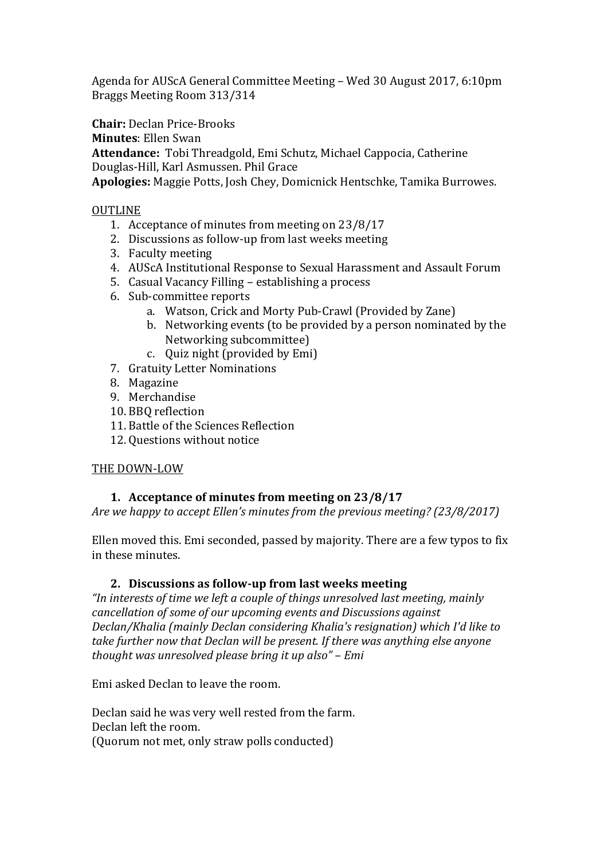Agenda for AUScA General Committee Meeting – Wed 30 August 2017, 6:10pm Braggs Meeting Room 313/314

**Chair:** Declan Price-Brooks

**Minutes**: Ellen Swan

**Attendance:** Tobi Threadgold, Emi Schutz, Michael Cappocia, Catherine

Douglas-Hill, Karl Asmussen. Phil Grace

**Apologies:** Maggie Potts, Josh Chey, Domicnick Hentschke, Tamika Burrowes.

## OUTLINE

- 1. Acceptance of minutes from meeting on 23/8/17
- 2. Discussions as follow-up from last weeks meeting
- 3. Faculty meeting
- 4. AUScA Institutional Response to Sexual Harassment and Assault Forum
- 5. Casual Vacancy Filling establishing a process
- 6. Sub-committee reports
	- a. Watson, Crick and Morty Pub-Crawl (Provided by Zane)
	- b. Networking events (to be provided by a person nominated by the Networking subcommittee)
	- c. Quiz night (provided by Emi)
- 7. Gratuity Letter Nominations
- 8. Magazine
- 9. Merchandise
- 10. BBQ reflection
- 11. Battle of the Sciences Reflection
- 12. Questions without notice

## THE DOWN-LOW

# **1. Acceptance of minutes from meeting on 23/8/17**

*Are we happy to accept Ellen's minutes from the previous meeting? (23/8/2017)*

Ellen moved this. Emi seconded, passed by majority. There are a few typos to fix in these minutes.

## **2. Discussions as follow-up from last weeks meeting**

*"In interests of time we left a couple of things unresolved last meeting, mainly cancellation of some of our upcoming events and Discussions against Declan/Khalia (mainly Declan considering Khalia's resignation) which I'd like to take further now that Declan will be present. If there was anything else anyone thought was unresolved please bring it up also" – Emi*

Emi asked Declan to leave the room.

Declan said he was very well rested from the farm. Declan left the room. (Quorum not met, only straw polls conducted)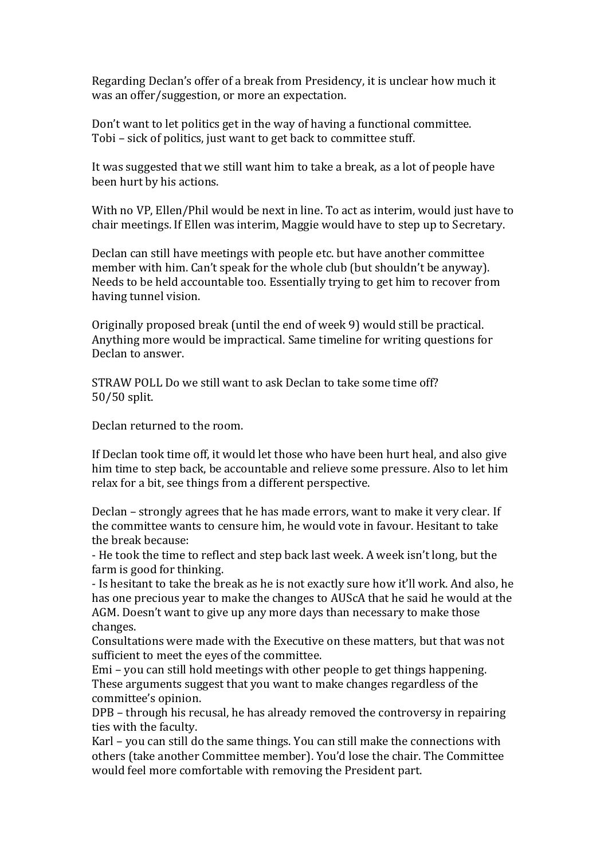Regarding Declan's offer of a break from Presidency, it is unclear how much it was an offer/suggestion, or more an expectation.

Don't want to let politics get in the way of having a functional committee. Tobi – sick of politics, just want to get back to committee stuff.

It was suggested that we still want him to take a break, as a lot of people have been hurt by his actions.

With no VP, Ellen/Phil would be next in line. To act as interim, would just have to chair meetings. If Ellen was interim, Maggie would have to step up to Secretary.

Declan can still have meetings with people etc. but have another committee member with him. Can't speak for the whole club (but shouldn't be anyway). Needs to be held accountable too. Essentially trying to get him to recover from having tunnel vision.

Originally proposed break (until the end of week 9) would still be practical. Anything more would be impractical. Same timeline for writing questions for Declan to answer.

STRAW POLL Do we still want to ask Declan to take some time off? 50/50 split.

Declan returned to the room.

If Declan took time off, it would let those who have been hurt heal, and also give him time to step back, be accountable and relieve some pressure. Also to let him relax for a bit, see things from a different perspective.

Declan – strongly agrees that he has made errors, want to make it very clear. If the committee wants to censure him, he would vote in favour. Hesitant to take the break because:

- He took the time to reflect and step back last week. A week isn't long, but the farm is good for thinking.

- Is hesitant to take the break as he is not exactly sure how it'll work. And also, he has one precious year to make the changes to AUScA that he said he would at the AGM. Doesn't want to give up any more days than necessary to make those changes.

Consultations were made with the Executive on these matters, but that was not sufficient to meet the eyes of the committee.

Emi – you can still hold meetings with other people to get things happening. These arguments suggest that you want to make changes regardless of the committee's opinion.

DPB – through his recusal, he has already removed the controversy in repairing ties with the faculty.

Karl – you can still do the same things. You can still make the connections with others (take another Committee member). You'd lose the chair. The Committee would feel more comfortable with removing the President part.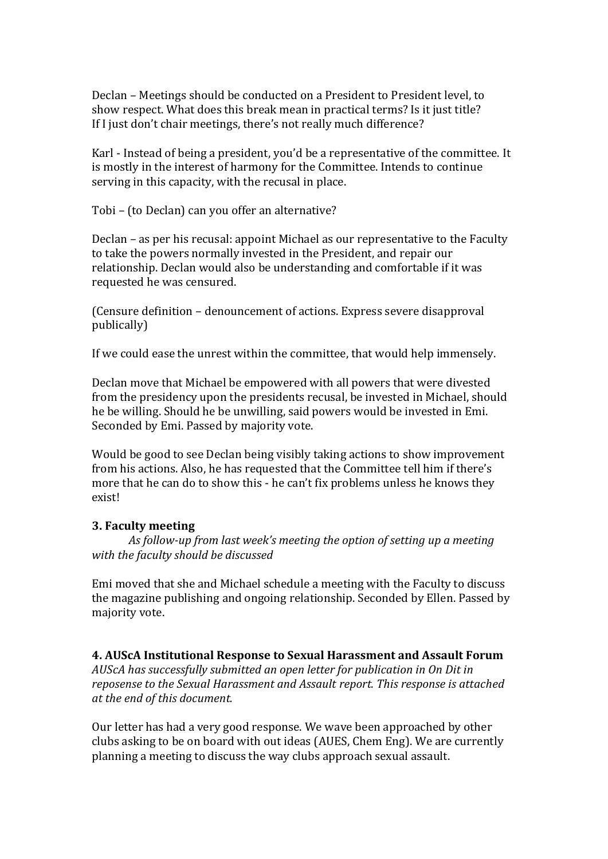Declan – Meetings should be conducted on a President to President level, to show respect. What does this break mean in practical terms? Is it just title? If I just don't chair meetings, there's not really much difference?

Karl - Instead of being a president, you'd be a representative of the committee. It is mostly in the interest of harmony for the Committee. Intends to continue serving in this capacity, with the recusal in place.

Tobi – (to Declan) can you offer an alternative?

Declan – as per his recusal: appoint Michael as our representative to the Faculty to take the powers normally invested in the President, and repair our relationship. Declan would also be understanding and comfortable if it was requested he was censured.

(Censure definition – denouncement of actions. Express severe disapproval publically)

If we could ease the unrest within the committee, that would help immensely.

Declan move that Michael be empowered with all powers that were divested from the presidency upon the presidents recusal, be invested in Michael, should he be willing. Should he be unwilling, said powers would be invested in Emi. Seconded by Emi. Passed by majority vote.

Would be good to see Declan being visibly taking actions to show improvement from his actions. Also, he has requested that the Committee tell him if there's more that he can do to show this - he can't fix problems unless he knows they exist!

#### **3. Faculty meeting**

*As follow-up from last week's meeting the option of setting up a meeting with the faculty should be discussed*

Emi moved that she and Michael schedule a meeting with the Faculty to discuss the magazine publishing and ongoing relationship. Seconded by Ellen. Passed by majority vote.

#### **4. AUScA Institutional Response to Sexual Harassment and Assault Forum**

*AUScA has successfully submitted an open letter for publication in On Dit in reposense to the Sexual Harassment and Assault report. This response is attached at the end of this document.*

Our letter has had a very good response. We wave been approached by other clubs asking to be on board with out ideas (AUES, Chem Eng). We are currently planning a meeting to discuss the way clubs approach sexual assault.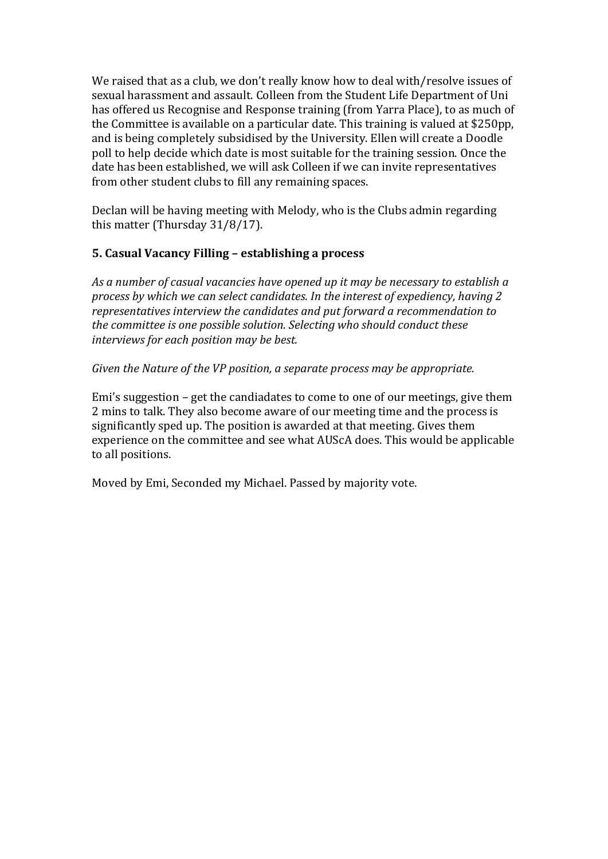We raised that as a club, we don't really know how to deal with/resolve issues of sexual harassment and assault. Colleen from the Student Life Department of Uni has offered us Recognise and Response training (from Yarra Place), to as much of the Committee is available on a particular date. This training is valued at \$250pp, and is being completely subsidised by the University. Ellen will create a Doodle poll to help decide which date is most suitable for the training session. Once the date has been established, we will ask Colleen if we can invite representatives from other student clubs to fill any remaining spaces.

Declan will be having meeting with Melody, who is the Clubs admin regarding this matter (Thursday 31/8/17).

## **5. Casual Vacancy Filling – establishing a process**

*As a number of casual vacancies have opened up it may be necessary to establish a process by which we can select candidates. In the interest of expediency, having 2 representatives interview the candidates and put forward a recommendation to the committee is one possible solution. Selecting who should conduct these interviews for each position may be best.*

## *Given the Nature of the VP position, a separate process may be appropriate.*

Emi's suggestion – get the candiadates to come to one of our meetings, give them 2 mins to talk. They also become aware of our meeting time and the process is significantly sped up. The position is awarded at that meeting. Gives them experience on the committee and see what AUScA does. This would be applicable to all positions.

Moved by Emi, Seconded my Michael. Passed by majority vote.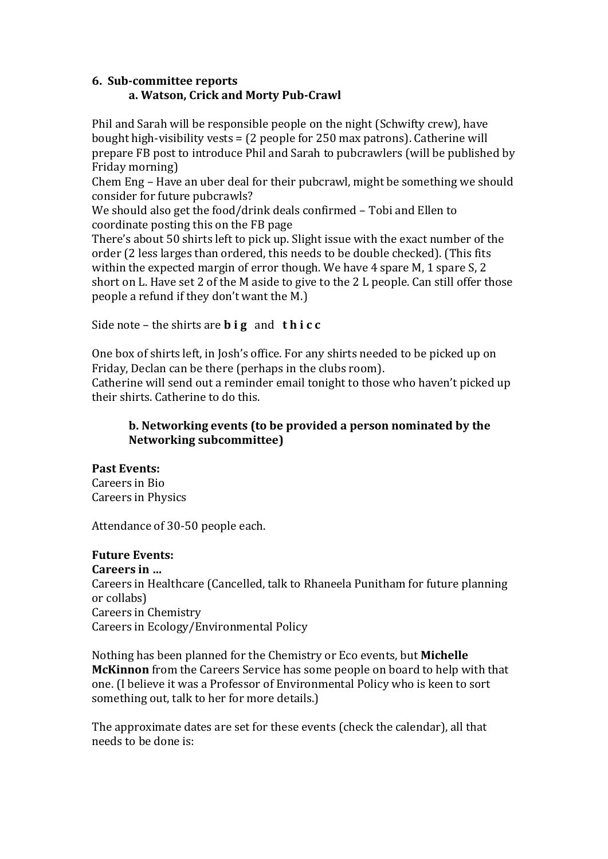## **6. Sub-committee reports a. Watson, Crick and Morty Pub-Crawl**

Phil and Sarah will be responsible people on the night (Schwifty crew), have bought high-visibility vests = (2 people for 250 max patrons). Catherine will prepare FB post to introduce Phil and Sarah to pubcrawlers (will be published by Friday morning)

Chem Eng – Have an uber deal for their pubcrawl, might be something we should consider for future pubcrawls?

We should also get the food/drink deals confirmed – Tobi and Ellen to coordinate posting this on the FB page

There's about 50 shirts left to pick up. Slight issue with the exact number of the order (2 less larges than ordered, this needs to be double checked). (This fits within the expected margin of error though. We have 4 spare M, 1 spare S, 2 short on L. Have set 2 of the M aside to give to the 2 L people. Can still offer those people a refund if they don't want the M.)

Side note – the shirts are **b i g** and **t h i c c**

One box of shirts left, in Josh's office. For any shirts needed to be picked up on Friday, Declan can be there (perhaps in the clubs room).

Catherine will send out a reminder email tonight to those who haven't picked up their shirts. Catherine to do this.

# **b. Networking events (to be provided a person nominated by the Networking subcommittee)**

# **Past Events:**

Careers in Bio Careers in Physics

Attendance of 30-50 people each.

# **Future Events:**

#### **Careers in …**

Careers in Healthcare (Cancelled, talk to Rhaneela Punitham for future planning or collabs) Careers in Chemistry Careers in Ecology/Environmental Policy

Nothing has been planned for the Chemistry or Eco events, but **Michelle McKinnon** from the Careers Service has some people on board to help with that one. (I believe it was a Professor of Environmental Policy who is keen to sort something out, talk to her for more details.)

The approximate dates are set for these events (check the calendar), all that needs to be done is: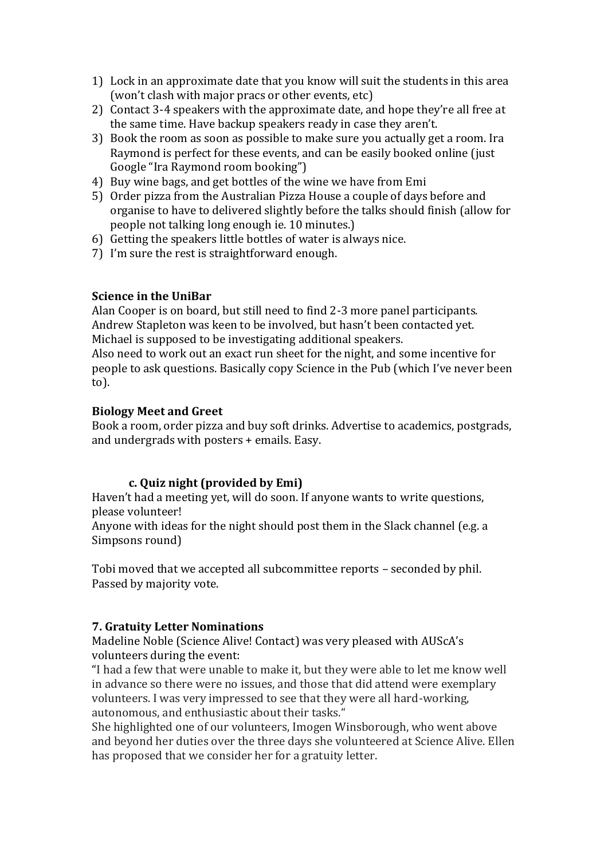- 1) Lock in an approximate date that you know will suit the students in this area (won't clash with major pracs or other events, etc)
- 2) Contact 3-4 speakers with the approximate date, and hope they're all free at the same time. Have backup speakers ready in case they aren't.
- 3) Book the room as soon as possible to make sure you actually get a room. Ira Raymond is perfect for these events, and can be easily booked online (just) Google "Ira Raymond room booking")
- 4) Buy wine bags, and get bottles of the wine we have from Emi
- 5) Order pizza from the Australian Pizza House a couple of days before and organise to have to delivered slightly before the talks should finish (allow for people not talking long enough ie. 10 minutes.)
- 6) Getting the speakers little bottles of water is always nice.
- 7) I'm sure the rest is straightforward enough.

## **Science in the UniBar**

Alan Cooper is on board, but still need to find 2-3 more panel participants. Andrew Stapleton was keen to be involved, but hasn't been contacted yet. Michael is supposed to be investigating additional speakers.

Also need to work out an exact run sheet for the night, and some incentive for people to ask questions. Basically copy Science in the Pub (which I've never been to).

## **Biology Meet and Greet**

Book a room, order pizza and buy soft drinks. Advertise to academics, postgrads, and undergrads with posters + emails. Easy.

# **c. Quiz night (provided by Emi)**

Haven't had a meeting yet, will do soon. If anyone wants to write questions, please volunteer!

Anyone with ideas for the night should post them in the Slack channel (e.g. a Simpsons round)

Tobi moved that we accepted all subcommittee reports – seconded by phil. Passed by majority vote.

## **7. Gratuity Letter Nominations**

Madeline Noble (Science Alive! Contact) was very pleased with AUScA's volunteers during the event:

"I had a few that were unable to make it, but they were able to let me know well in advance so there were no issues, and those that did attend were exemplary volunteers. I was very impressed to see that they were all hard-working, autonomous, and enthusiastic about their tasks."

She highlighted one of our volunteers, Imogen Winsborough, who went above and beyond her duties over the three days she volunteered at Science Alive. Ellen has proposed that we consider her for a gratuity letter.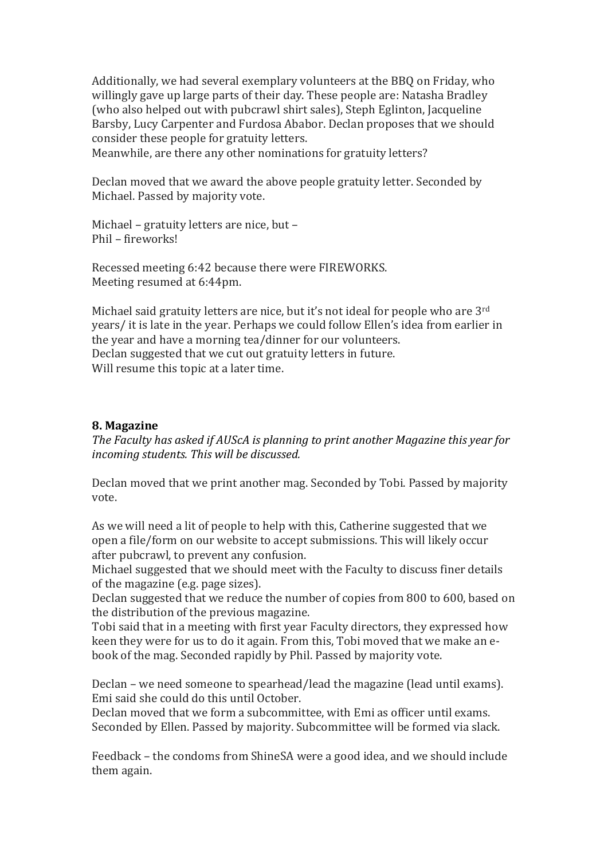Additionally, we had several exemplary volunteers at the BBQ on Friday, who willingly gave up large parts of their day. These people are: Natasha Bradley (who also helped out with pubcrawl shirt sales), Steph Eglinton, Jacqueline Barsby, Lucy Carpenter and Furdosa Ababor. Declan proposes that we should consider these people for gratuity letters.

Meanwhile, are there any other nominations for gratuity letters?

Declan moved that we award the above people gratuity letter. Seconded by Michael. Passed by majority vote.

Michael – gratuity letters are nice, but – Phil – fireworks!

Recessed meeting 6:42 because there were FIREWORKS. Meeting resumed at 6:44pm.

Michael said gratuity letters are nice, but it's not ideal for people who are 3<sup>rd</sup> years/ it is late in the year. Perhaps we could follow Ellen's idea from earlier in the year and have a morning tea/dinner for our volunteers. Declan suggested that we cut out gratuity letters in future. Will resume this topic at a later time.

#### **8. Magazine**

*The Faculty has asked if AUScA is planning to print another Magazine this year for incoming students. This will be discussed.*

Declan moved that we print another mag. Seconded by Tobi. Passed by majority vote.

As we will need a lit of people to help with this, Catherine suggested that we open a file/form on our website to accept submissions. This will likely occur after pubcrawl, to prevent any confusion.

Michael suggested that we should meet with the Faculty to discuss finer details of the magazine (e.g. page sizes).

Declan suggested that we reduce the number of copies from 800 to 600, based on the distribution of the previous magazine.

Tobi said that in a meeting with first year Faculty directors, they expressed how keen they were for us to do it again. From this, Tobi moved that we make an ebook of the mag. Seconded rapidly by Phil. Passed by majority vote.

Declan – we need someone to spearhead/lead the magazine (lead until exams). Emi said she could do this until October.

Declan moved that we form a subcommittee, with Emi as officer until exams. Seconded by Ellen. Passed by majority. Subcommittee will be formed via slack.

Feedback – the condoms from ShineSA were a good idea, and we should include them again.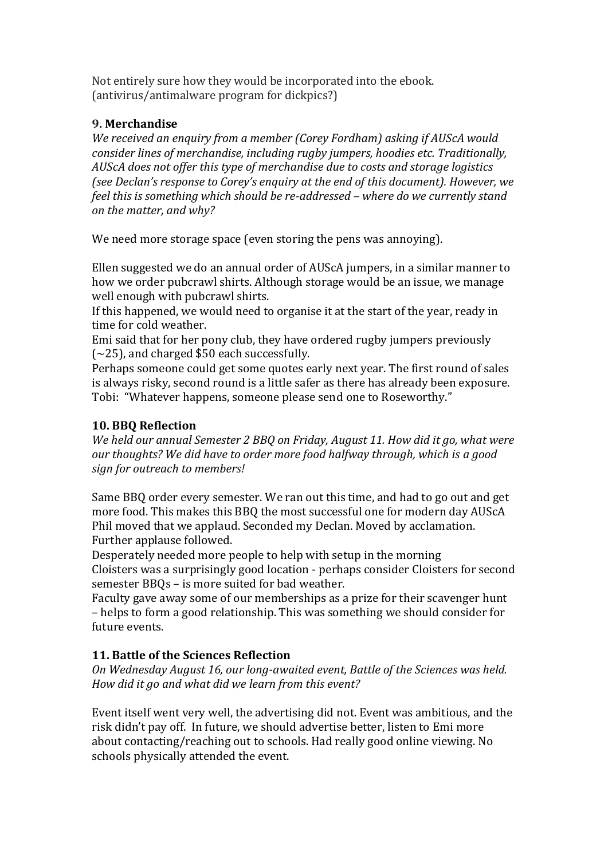Not entirely sure how they would be incorporated into the ebook. (antivirus/antimalware program for dickpics?)

## **9. Merchandise**

*We received an enquiry from a member (Corey Fordham) asking if AUScA would consider lines of merchandise, including rugby jumpers, hoodies etc. Traditionally, AUScA does not offer this type of merchandise due to costs and storage logistics (see Declan's response to Corey's enquiry at the end of this document). However, we feel this is something which should be re-addressed – where do we currently stand on the matter, and why?*

We need more storage space (even storing the pens was annoying).

Ellen suggested we do an annual order of AUScA jumpers, in a similar manner to how we order pubcrawl shirts. Although storage would be an issue, we manage well enough with pubcrawl shirts.

If this happened, we would need to organise it at the start of the year, ready in time for cold weather.

Emi said that for her pony club, they have ordered rugby jumpers previously  $(-25)$ , and charged \$50 each successfully.

Perhaps someone could get some quotes early next year. The first round of sales is always risky, second round is a little safer as there has already been exposure. Tobi: "Whatever happens, someone please send one to Roseworthy."

# **10. BBQ Reflection**

*We held our annual Semester 2 BBQ on Friday, August 11. How did it go, what were our thoughts? We did have to order more food halfway through, which is a good sign for outreach to members!*

Same BBQ order every semester. We ran out this time, and had to go out and get more food. This makes this BBQ the most successful one for modern day AUScA Phil moved that we applaud. Seconded my Declan. Moved by acclamation. Further applause followed.

Desperately needed more people to help with setup in the morning Cloisters was a surprisingly good location - perhaps consider Cloisters for second semester BBQs – is more suited for bad weather.

Faculty gave away some of our memberships as a prize for their scavenger hunt – helps to form a good relationship. This was something we should consider for future events.

# **11. Battle of the Sciences Reflection**

*On Wednesday August 16, our long-awaited event, Battle of the Sciences was held. How did it go and what did we learn from this event?*

Event itself went very well, the advertising did not. Event was ambitious, and the risk didn't pay off. In future, we should advertise better, listen to Emi more about contacting/reaching out to schools. Had really good online viewing. No schools physically attended the event.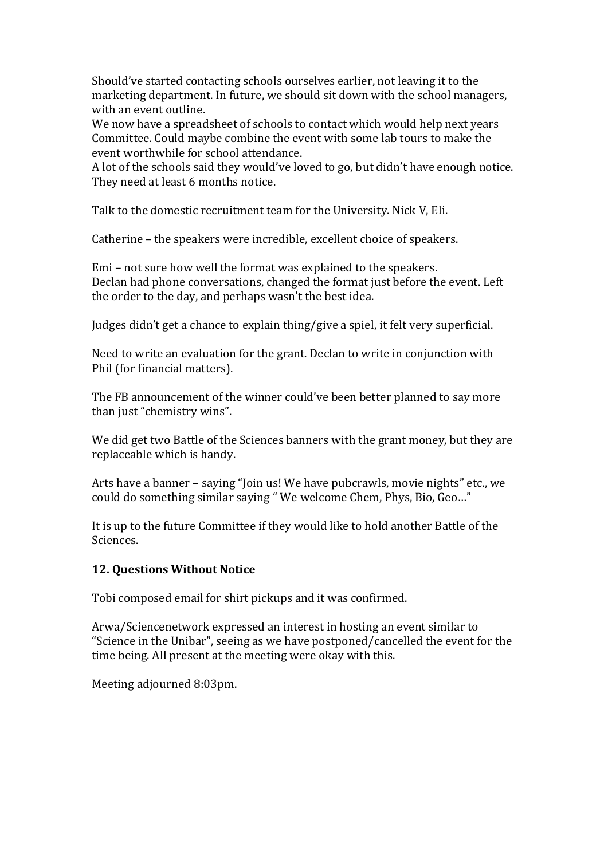Should've started contacting schools ourselves earlier, not leaving it to the marketing department. In future, we should sit down with the school managers, with an event outline.

We now have a spreadsheet of schools to contact which would help next years Committee. Could maybe combine the event with some lab tours to make the event worthwhile for school attendance.

A lot of the schools said they would've loved to go, but didn't have enough notice. They need at least 6 months notice.

Talk to the domestic recruitment team for the University. Nick V, Eli.

Catherine – the speakers were incredible, excellent choice of speakers.

Emi – not sure how well the format was explained to the speakers. Declan had phone conversations, changed the format just before the event. Left the order to the day, and perhaps wasn't the best idea.

Judges didn't get a chance to explain thing/give a spiel, it felt very superficial.

Need to write an evaluation for the grant. Declan to write in conjunction with Phil (for financial matters).

The FB announcement of the winner could've been better planned to say more than just "chemistry wins".

We did get two Battle of the Sciences banners with the grant money, but they are replaceable which is handy.

Arts have a banner – saying "Join us! We have pubcrawls, movie nights" etc., we could do something similar saying " We welcome Chem, Phys, Bio, Geo…"

It is up to the future Committee if they would like to hold another Battle of the Sciences.

## **12. Questions Without Notice**

Tobi composed email for shirt pickups and it was confirmed.

Arwa/Sciencenetwork expressed an interest in hosting an event similar to "Science in the Unibar", seeing as we have postponed/cancelled the event for the time being. All present at the meeting were okay with this.

Meeting adjourned 8:03pm.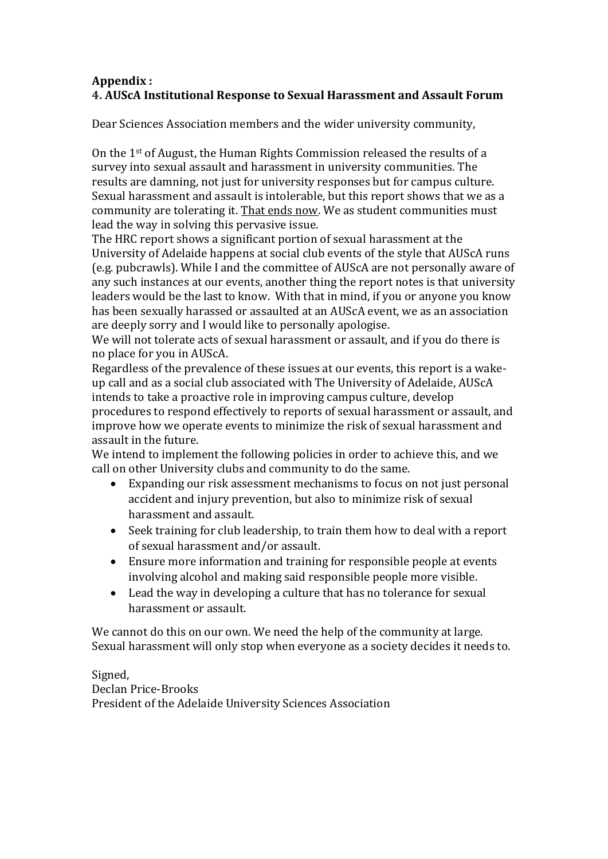# **Appendix : 4. AUScA Institutional Response to Sexual Harassment and Assault Forum**

Dear Sciences Association members and the wider university community,

On the 1st of August, the Human Rights Commission released the results of a survey into sexual assault and harassment in university communities. The results are damning, not just for university responses but for campus culture. Sexual harassment and assault is intolerable, but this report shows that we as a community are tolerating it. That ends now. We as student communities must lead the way in solving this pervasive issue.

The HRC report shows a significant portion of sexual harassment at the University of Adelaide happens at social club events of the style that AUScA runs (e.g. pubcrawls). While I and the committee of AUScA are not personally aware of any such instances at our events, another thing the report notes is that university leaders would be the last to know. With that in mind, if you or anyone you know has been sexually harassed or assaulted at an AUScA event, we as an association are deeply sorry and I would like to personally apologise.

We will not tolerate acts of sexual harassment or assault, and if you do there is no place for you in AUScA.

Regardless of the prevalence of these issues at our events, this report is a wakeup call and as a social club associated with The University of Adelaide, AUScA intends to take a proactive role in improving campus culture, develop procedures to respond effectively to reports of sexual harassment or assault, and improve how we operate events to minimize the risk of sexual harassment and assault in the future.

We intend to implement the following policies in order to achieve this, and we call on other University clubs and community to do the same.

- Expanding our risk assessment mechanisms to focus on not just personal accident and injury prevention, but also to minimize risk of sexual harassment and assault.
- Seek training for club leadership, to train them how to deal with a report of sexual harassment and/or assault.
- Ensure more information and training for responsible people at events involving alcohol and making said responsible people more visible.
- Lead the way in developing a culture that has no tolerance for sexual harassment or assault.

We cannot do this on our own. We need the help of the community at large. Sexual harassment will only stop when everyone as a society decides it needs to.

Signed, Declan Price-Brooks President of the Adelaide University Sciences Association